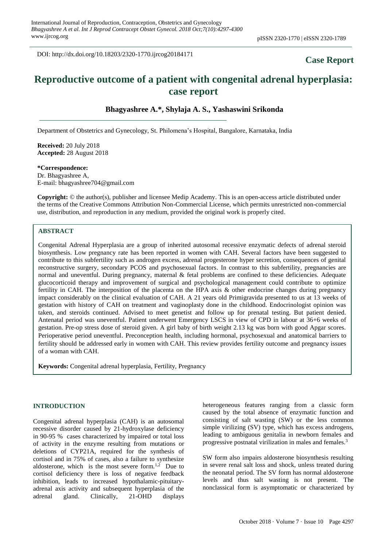DOI: http://dx.doi.org/10.18203/2320-1770.ijrcog20184171

## **Case Report**

# **Reproductive outcome of a patient with congenital adrenal hyperplasia: case report**

#### **Bhagyashree A.\*, Shylaja A. S., Yashaswini Srikonda**

Department of Obstetrics and Gynecology, St. Philomena's Hospital, Bangalore, Karnataka, India

**Received:** 20 July 2018 **Accepted:** 28 August 2018

**\*Correspondence:** Dr. Bhagyashree A, E-mail: bhagyashree704@gmail.com

**Copyright:** © the author(s), publisher and licensee Medip Academy. This is an open-access article distributed under the terms of the Creative Commons Attribution Non-Commercial License, which permits unrestricted non-commercial use, distribution, and reproduction in any medium, provided the original work is properly cited.

## **ABSTRACT**

Congenital Adrenal Hyperplasia are a group of inherited autosomal recessive enzymatic defects of adrenal steroid biosynthesis. Low pregnancy rate has been reported in women with CAH. Several factors have been suggested to contribute to this subfertility such as androgen excess, adrenal progesterone hyper secretion, consequences of genital reconstructive surgery, secondary PCOS and psychosexual factors. In contrast to this subfertility, pregnancies are normal and uneventful. During pregnancy, maternal & fetal problems are confined to these deficiencies. Adequate glucocorticoid therapy and improvement of surgical and psychological management could contribute to optimize fertility in CAH. The interposition of the placenta on the HPA axis & other endocrine changes during pregnancy impact considerably on the clinical evaluation of CAH. A 21 years old Primigravida presented to us at 13 weeks of gestation with history of CAH on treatment and vaginoplasty done in the childhood. Endocrinologist opinion was taken, and steroids continued. Advised to meet genetist and follow up for prenatal testing. But patient denied. Antenatal period was uneventful. Patient underwent Emergency LSCS in view of CPD in labour at 36+6 weeks of gestation. Pre-op stress dose of steroid given. A girl baby of birth weight 2.13 kg was born with good Apgar scores. Perioperative period uneventful. Preconception health, including hormonal, psychosexual and anatomical barriers to fertility should be addressed early in women with CAH. This review provides fertility outcome and pregnancy issues of a woman with CAH.

**Keywords:** Congenital adrenal hyperplasia, Fertility, Pregnancy

#### **INTRODUCTION**

Congenital adrenal hyperplasia (CAH) is an autosomal recessive disorder caused by 21-hydroxylase deficiency in 90-95 % cases characterized by impaired or total loss of activity in the enzyme resulting from mutations or deletions of CYP21A, required for the synthesis of cortisol and in 75% of cases, also a failure to synthesize aldosterone, which is the most severe form. $1,2$  Due to cortisol deficiency there is loss of negative feedback inhibition, leads to increased hypothalamic-pituitaryadrenal axis activity and subsequent hyperplasia of the adrenal gland. Clinically, 21-OHD displays heterogeneous features ranging from a classic form caused by the total absence of enzymatic function and consisting of salt wasting (SW) or the less common simple virilizing (SV) type, which has excess androgens, leading to ambiguous genitalia in newborn females and progressive postnatal virilization in males and females.<sup>3</sup>

SW form also impairs aldosterone biosynthesis resulting in severe renal salt loss and shock, unless treated during the neonatal period. The SV form has normal aldosterone levels and thus salt wasting is not present. The nonclassical form is asymptomatic or characterized by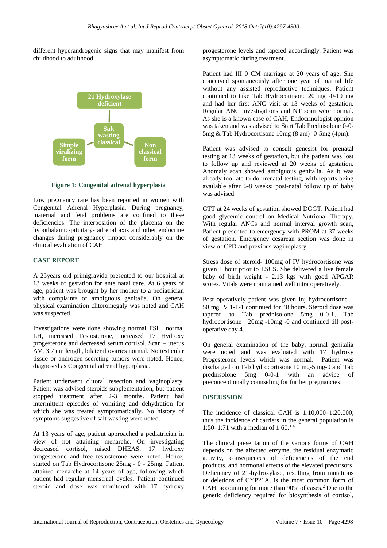different hyperandrogenic signs that may manifest from childhood to adulthood.



**Figure 1: Congenital adrenal hyperplasia**

Low pregnancy rate has been reported in women with Congenital Adrenal Hyperplasia. During pregnancy, maternal and fetal problems are confined to these deficiencies. The interposition of the placenta on the hypothalamic-pituitary- adrenal axis and other endocrine changes during pregnancy impact considerably on the clinical evaluation of CAH.

### **CASE REPORT**

A 25years old primigravida presented to our hospital at 13 weeks of gestation for ante natal care. At 6 years of age, patient was brought by her mother to a pediatrician with complaints of ambiguous genitalia. On general physical examination clitoromegaly was noted and CAH was suspected.

Investigations were done showing normal FSH, normal LH, increased Testosterone, increased 17 Hydroxy progesterone and decreased serum cortisol. Scan – uterus AV, 3.7 cm length, bilateral ovaries normal. No testicular tissue or androgen secreting tumors were noted. Hence, diagnosed as Congenital adrenal hyperplasia.

Patient underwent clitoral resection and vaginoplasty. Patient was advised steroids supplementation, but patient stopped treatment after 2-3 months. Patient had intermittent episodes of vomiting and dehydration for which she was treated symptomatically. No history of symptoms suggestive of salt wasting were noted.

At 13 years of age, patient approached a pediatrician in view of not attaining menarche. On investigating decreased cortisol, raised DHEAS, 17 hydroxy progesterone and free testosterone were noted. Hence, started on Tab Hydrocortisone 25mg - 0 - 25mg. Patient attained menarche at 14 years of age, following which patient had regular menstrual cycles. Patient continued steroid and dose was monitored with 17 hydroxy progesterone levels and tapered accordingly. Patient was asymptomatic during treatment.

Patient had III 0 CM marriage at 20 years of age. She conceived spontaneously after one year of marital life without any assisted reproductive techniques. Patient continued to take Tab Hydrocortisone 20 mg -0-10 mg and had her first ANC visit at 13 weeks of gestation. Regular ANC investigations and NT scan were normal. As she is a known case of CAH, Endocrinologist opinion was taken and was advised to Start Tab Prednisolone 0-0- 5mg & Tab Hydrocortisone 10mg (8 am)- 0-5mg (4pm).

Patient was advised to consult genesist for prenatal testing at 13 weeks of gestation, but the patient was lost to follow up and reviewed at 20 weeks of gestation. Anomaly scan showed ambiguous genitalia. As it was already too late to do prenatal testing, with reports being available after 6-8 weeks; post-natal follow up of baby was advised.

GTT at 24 weeks of gestation showed DGGT. Patient had good glycemic control on Medical Nutrional Therapy. With regular ANCs and normal interval growth scan, Patient presented to emergency with PROM at 37 weeks of gestation. Emergency cesarean section was done in view of CPD and previous vaginoplasty.

Stress dose of steroid- 100mg of IV hydrocortisone was given 1 hour prior to LSCS. She delivered a live female baby of birth weight - 2.13 kgs with good APGAR scores. Vitals were maintained well intra operatively.

Post operatively patient was given Inj hydrocortisone – 50 mg IV 1-1-1 continued for 48 hours. Steroid dose was tapered to Tab prednisolone 5mg 0-0-1, Tab hydrocortisone 20mg -10mg -0 and continued till postoperative day 4.

On general examination of the baby, normal genitalia were noted and was evaluated with 17 hydroxy Progesterone levels which was normal. Patient was discharged on Tab hydrocortisone 10 mg-5 mg-0 and Tab prednisolone 5mg 0-0-1 with an advice of preconceptionally counseling for further pregnancies.

## **DISCUSSION**

The incidence of classical CAH is 1:10,000–1:20,000, thus the incidence of carriers in the general population is 1:50–1:71 with a median of 1:60.<sup>1,4</sup>

The clinical presentation of the various forms of CAH depends on the affected enzyme, the residual enzymatic activity, consequences of deficiencies of the end products, and hormonal effects of the elevated precursors. Deficiency of 21-hydroxylase, resulting from mutations or deletions of CYP21A, is the most common form of CAH, accounting for more than 90% of cases.<sup>2</sup> Due to the genetic deficiency required for biosynthesis of cortisol,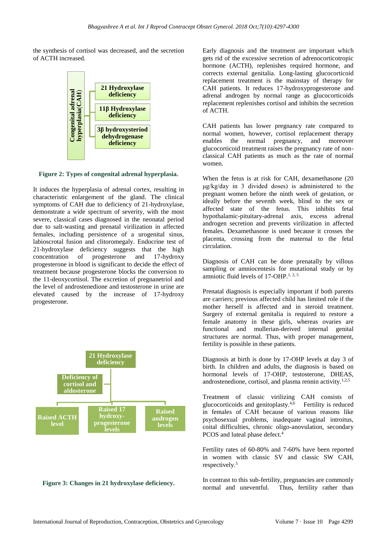the synthesis of cortisol was decreased, and the secretion of ACTH increased.



**Figure 2: Types of congenital adrenal hyperplasia.**

It induces the hyperplasia of adrenal cortex, resulting in characteristic enlargement of the gland. The clinical symptoms of CAH due to deficiency of 21-hydroxylase, demonstrate a wide spectrum of severity, with the most severe, classical cases diagnosed in the neonatal period due to salt-wasting and prenatal virilization in affected females, including persistence of a urogenital sinus, labioscrotal fusion and clitoromegaly. Endocrine test of 21-hydroxylase deficiency suggests that the high concentration of progesterone and 17-hydroxy progesterone in blood is significant to decide the effect of treatment because progesterone blocks the conversion to the 11-deoxycortisol. The excretion of pregnanetriol and the level of androstenedione and testosterone in urine are elevated caused by the increase of 17-hydroxy progesterone.



## **Figure 3: Changes in 21 hydroxylase deficiency.**

Early diagnosis and the treatment are important which gets rid of the excessive secretion of adrenocorticotropic hormone (ACTH), replenishes required hormone, and corrects external genitalia. Long-lasting glucocorticoid replacement treatment is the mainstay of therapy for CAH patients. It reduces 17-hydroxyprogesterone and adrenal androgen by normal range as glucocorticoids replacement replenishes cortisol and inhibits the secretion of ACTH.

CAH patients has lower pregnancy rate compared to normal women, however, cortisol replacement therapy enables the normal pregnancy, and moreover glucocorticoid treatment raises the pregnancy rate of nonclassical CAH patients as much as the rate of normal women.

When the fetus is at risk for CAH, dexamethasone (20 μg/kg/day in 3 divided doses) is administered to the pregnant women before the ninth week of gestation, or ideally before the seventh week, blind to the sex or affected state of the fetus. This inhibits fetal hypothalamic-pituitary-adrenal axis, excess adrenal androgen secretion and prevents virilization in affected females. Dexamethasone is used because it crosses the placenta, crossing from the maternal to the fetal circulation.

Diagnosis of CAH can be done prenatally by villous sampling or amniocentesis for mutational study or by amniotic fluid levels of 17-OHP.<sup>1, 2, 5</sup>

Prenatal diagnosis is especially important if both parents are carriers; previous affected child has limited role if the mother herself is affected and in steroid treatment. Surgery of external genitalia is required to restore a female anatomy in these girls, whereas ovaries are functional and mullerian-derived internal genital structures are normal. Thus, with proper management, fertility is possible in these patients.

Diagnosis at birth is done by 17-OHP levels at day 3 of birth. In children and adults, the diagnosis is based on hormonal levels of 17-OHP, testosterone, DHEAS, androstenedione, cortisol, and plasma rennin activity.<sup>1,2,5</sup>

Treatment of classic virilizing CAH consists of glucocorticoids and genitoplasty.4,6 Fertility is reduced in females of CAH because of various reasons like psychosexual problems, inadequate vaginal introitus, coital difficulties, chronic oligo-anovulation, secondary PCOS and luteal phase defect.<sup>4</sup>

Fertility rates of 60-80% and 7-60% have been reported in women with classic SV and classic SW CAH, respectively.<sup>5</sup>

In contrast to this sub-fertility, pregnancies are commonly normal and uneventful. Thus, fertility rather than